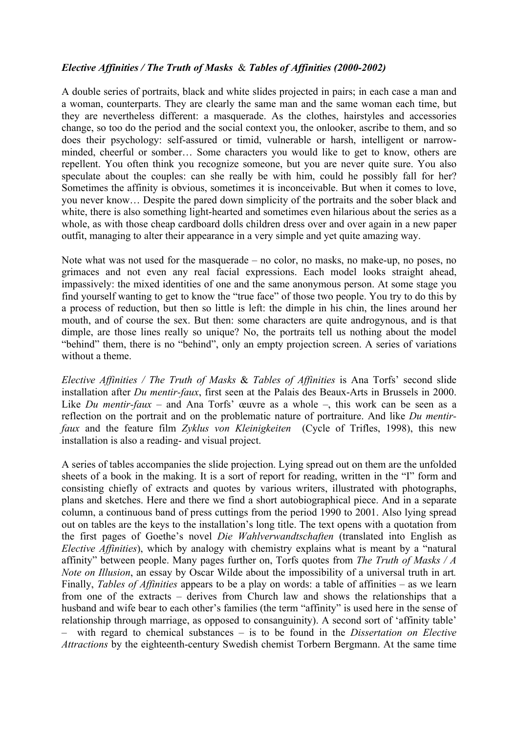## *Elective Affinities / The Truth of Masks*& *Tables of Affinities (2000-2002)*

A double series of portraits, black and white slides projected in pairs; in each case a man and a woman, counterparts. They are clearly the same man and the same woman each time, but they are nevertheless different: a masquerade. As the clothes, hairstyles and accessories change, so too do the period and the social context you, the onlooker, ascribe to them, and so does their psychology: self-assured or timid, vulnerable or harsh, intelligent or narrowminded, cheerful or somber… Some characters you would like to get to know, others are repellent. You often think you recognize someone, but you are never quite sure. You also speculate about the couples: can she really be with him, could he possibly fall for her? Sometimes the affinity is obvious, sometimes it is inconceivable. But when it comes to love, you never know… Despite the pared down simplicity of the portraits and the sober black and white, there is also something light-hearted and sometimes even hilarious about the series as a whole, as with those cheap cardboard dolls children dress over and over again in a new paper outfit, managing to alter their appearance in a very simple and yet quite amazing way.

Note what was not used for the masquerade – no color, no masks, no make-up, no poses, no grimaces and not even any real facial expressions. Each model looks straight ahead, impassively: the mixed identities of one and the same anonymous person. At some stage you find yourself wanting to get to know the "true face" of those two people. You try to do this by a process of reduction, but then so little is left: the dimple in his chin, the lines around her mouth, and of course the sex. But then: some characters are quite androgynous, and is that dimple, are those lines really so unique? No, the portraits tell us nothing about the model "behind" them, there is no "behind", only an empty projection screen. A series of variations without a theme.

*Elective Affinities / The Truth of Masks* & *Tables of Affinities* is Ana Torfs' second slide installation after *Du mentir-faux*, first seen at the Palais des Beaux-Arts in Brussels in 2000. Like *Du mentir-faux –* and Ana Torfs' œuvre as a whole –, this work can be seen as a reflection on the portrait and on the problematic nature of portraiture. And like *Du mentirfaux* and the feature film *Zyklus von Kleinigkeiten* (Cycle of Trifles, 1998), this new installation is also a reading- and visual project.

A series of tables accompanies the slide projection. Lying spread out on them are the unfolded sheets of a book in the making. It is a sort of report for reading, written in the "I" form and consisting chiefly of extracts and quotes by various writers, illustrated with photographs, plans and sketches. Here and there we find a short autobiographical piece. And in a separate column, a continuous band of press cuttings from the period 1990 to 2001. Also lying spread out on tables are the keys to the installation's long title. The text opens with a quotation from the first pages of Goethe's novel *Die Wahlverwandtschaften* (translated into English as *Elective Affinities*), which by analogy with chemistry explains what is meant by a "natural affinity" between people. Many pages further on, Torfs quotes from *The Truth of Masks / A Note on Illusion*, an essay by Oscar Wilde about the impossibility of a universal truth in art*.*  Finally, *Tables of Affinities* appears to be a play on words: a table of affinities – as we learn from one of the extracts – derives from Church law and shows the relationships that a husband and wife bear to each other's families (the term "affinity" is used here in the sense of relationship through marriage, as opposed to consanguinity). A second sort of 'affinity table' – with regard to chemical substances – is to be found in the *Dissertation on Elective Attractions* by the eighteenth-century Swedish chemist Torbern Bergmann. At the same time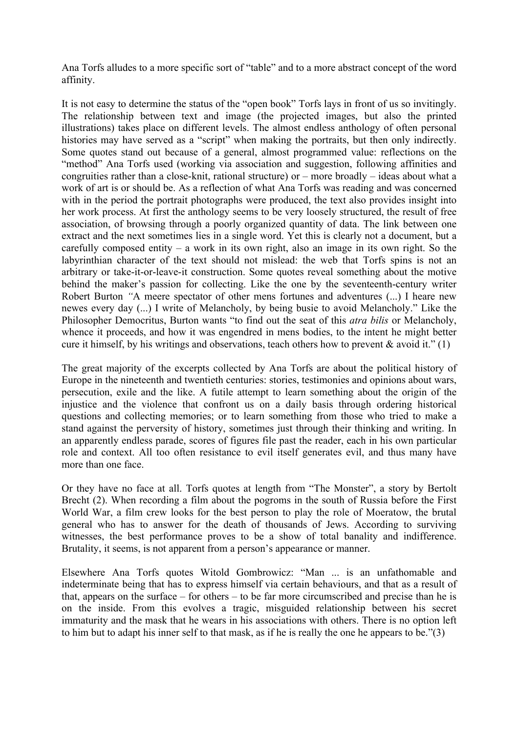Ana Torfs alludes to a more specific sort of "table" and to a more abstract concept of the word affinity.

It is not easy to determine the status of the "open book" Torfs lays in front of us so invitingly. The relationship between text and image (the projected images, but also the printed illustrations) takes place on different levels. The almost endless anthology of often personal histories may have served as a "script" when making the portraits, but then only indirectly. Some quotes stand out because of a general, almost programmed value: reflections on the "method" Ana Torfs used (working via association and suggestion, following affinities and congruities rather than a close-knit, rational structure) or – more broadly – ideas about what a work of art is or should be. As a reflection of what Ana Torfs was reading and was concerned with in the period the portrait photographs were produced, the text also provides insight into her work process. At first the anthology seems to be very loosely structured, the result of free association, of browsing through a poorly organized quantity of data. The link between one extract and the next sometimes lies in a single word. Yet this is clearly not a document, but a carefully composed entity – a work in its own right, also an image in its own right. So the labyrinthian character of the text should not mislead: the web that Torfs spins is not an arbitrary or take-it-or-leave-it construction. Some quotes reveal something about the motive behind the maker's passion for collecting. Like the one by the seventeenth-century writer Robert Burton *"*A meere spectator of other mens fortunes and adventures (...) I heare new newes every day (...) I write of Melancholy, by being busie to avoid Melancholy." Like the Philosopher Democritus, Burton wants "to find out the seat of this *atra bilis* or Melancholy, whence it proceeds, and how it was engendred in mens bodies, to the intent he might better cure it himself, by his writings and observations, teach others how to prevent  $\&$  avoid it." (1)

The great majority of the excerpts collected by Ana Torfs are about the political history of Europe in the nineteenth and twentieth centuries: stories, testimonies and opinions about wars, persecution, exile and the like. A futile attempt to learn something about the origin of the injustice and the violence that confront us on a daily basis through ordering historical questions and collecting memories; or to learn something from those who tried to make a stand against the perversity of history, sometimes just through their thinking and writing. In an apparently endless parade, scores of figures file past the reader, each in his own particular role and context. All too often resistance to evil itself generates evil, and thus many have more than one face.

Or they have no face at all. Torfs quotes at length from "The Monster", a story by Bertolt Brecht (2). When recording a film about the pogroms in the south of Russia before the First World War, a film crew looks for the best person to play the role of Moeratow, the brutal general who has to answer for the death of thousands of Jews. According to surviving witnesses, the best performance proves to be a show of total banality and indifference. Brutality, it seems, is not apparent from a person's appearance or manner.

Elsewhere Ana Torfs quotes Witold Gombrowicz: "Man ... is an unfathomable and indeterminate being that has to express himself via certain behaviours, and that as a result of that, appears on the surface – for others – to be far more circumscribed and precise than he is on the inside. From this evolves a tragic, misguided relationship between his secret immaturity and the mask that he wears in his associations with others. There is no option left to him but to adapt his inner self to that mask, as if he is really the one he appears to be."(3)